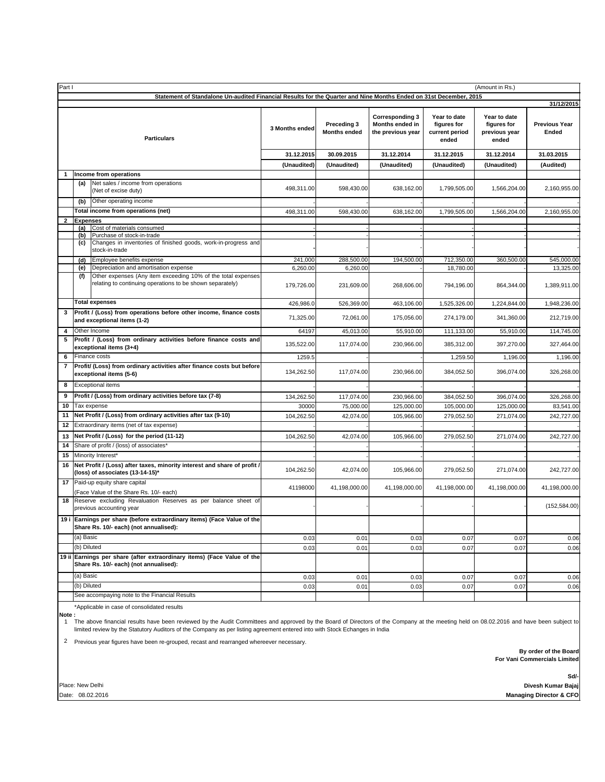| Part I<br>(Amount in Rs.)                                                                                         |                                                           |                                                                                                                           |                                    |                                                                |                                                        |                                                       |                                             |               |  |  |  |
|-------------------------------------------------------------------------------------------------------------------|-----------------------------------------------------------|---------------------------------------------------------------------------------------------------------------------------|------------------------------------|----------------------------------------------------------------|--------------------------------------------------------|-------------------------------------------------------|---------------------------------------------|---------------|--|--|--|
| Statement of Standalone Un-audited Financial Results for the Quarter and Nine Months Ended on 31st December, 2015 |                                                           |                                                                                                                           |                                    |                                                                |                                                        |                                                       |                                             |               |  |  |  |
| <b>Particulars</b>                                                                                                |                                                           | 3 Months ended                                                                                                            | Preceding 3<br><b>Months ended</b> | <b>Corresponding 3</b><br>Months ended in<br>the previous year | Year to date<br>figures for<br>current period<br>ended | Year to date<br>figures for<br>previous year<br>ended | 31/12/2015<br><b>Previous Year</b><br>Ended |               |  |  |  |
|                                                                                                                   |                                                           |                                                                                                                           | 31.12.2015                         | 30.09.2015                                                     | 31.12.2014                                             | 31.12.2015                                            | 31.12.2014                                  | 31.03.2015    |  |  |  |
|                                                                                                                   |                                                           |                                                                                                                           | (Unaudited)                        | (Unaudited)                                                    | (Unaudited)                                            | (Unaudited)                                           | (Unaudited)                                 | (Audited)     |  |  |  |
| -1                                                                                                                |                                                           | Income from operations                                                                                                    |                                    |                                                                |                                                        |                                                       |                                             |               |  |  |  |
|                                                                                                                   | (a)                                                       | Net sales / income from operations<br>(Net of excise duty)                                                                | 498,311.00                         | 598,430.00                                                     | 638,162.00                                             | 1,799,505.00                                          | 1,566,204.00                                | 2,160,955.00  |  |  |  |
|                                                                                                                   | (b)                                                       | Other operating income                                                                                                    |                                    |                                                                |                                                        |                                                       |                                             |               |  |  |  |
|                                                                                                                   |                                                           | Total income from operations (net)                                                                                        | 498,311.00                         | 598,430.00                                                     | 638,162.00                                             | 1,799,505.00                                          | 1,566,204.00                                | 2,160,955.00  |  |  |  |
| $\overline{\mathbf{2}}$                                                                                           | <b>Expenses</b><br>(a)                                    | Cost of materials consumed                                                                                                |                                    |                                                                |                                                        |                                                       |                                             |               |  |  |  |
|                                                                                                                   | (b)                                                       | Purchase of stock-in-trade                                                                                                |                                    |                                                                |                                                        |                                                       |                                             |               |  |  |  |
|                                                                                                                   | (c)                                                       | Changes in inventories of finished goods, work-in-progress and<br>stock-in-trade                                          |                                    |                                                                |                                                        |                                                       |                                             |               |  |  |  |
|                                                                                                                   | (d)                                                       | Employee benefits expense                                                                                                 | 241,000                            | 288,500.00                                                     | 194,500.00                                             | 712,350.00                                            | 360,500.00                                  | 545,000.00    |  |  |  |
|                                                                                                                   | (e)                                                       | Depreciation and amortisation expense                                                                                     | 6,260.00                           | 6,260.00                                                       |                                                        | 18,780.00                                             |                                             | 13,325.00     |  |  |  |
|                                                                                                                   | (f)                                                       | Other expenses (Any item exceeding 10% of the total expenses<br>relating to continuing operations to be shown separately) | 179,726.00                         | 231,609.00                                                     | 268,606.00                                             | 794,196.00                                            | 864,344.00                                  | 1,389,911.00  |  |  |  |
|                                                                                                                   |                                                           | <b>Total expenses</b>                                                                                                     | 426,986.0                          | 526,369.00                                                     | 463,106.00                                             | 1,525,326.00                                          | 1,224,844.00                                | 1,948,236.00  |  |  |  |
|                                                                                                                   |                                                           | Profit / (Loss) from operations before other income, finance costs<br>and exceptional items (1-2)                         | 71,325.00                          | 72,061.00                                                      | 175,056.00                                             | 274,179.00                                            | 341,360.00                                  | 212,719.00    |  |  |  |
| 4                                                                                                                 |                                                           | Other Income                                                                                                              | 64197                              | 45,013.00                                                      | 55,910.00                                              | 111,133.00                                            | 55,910.00                                   | 114,745.00    |  |  |  |
|                                                                                                                   |                                                           | Profit / (Loss) from ordinary activities before finance costs and<br>exceptional items (3+4)                              | 135,522.00                         | 117,074.00                                                     | 230,966.00                                             | 385,312.00                                            | 397,270.00                                  | 327,464.00    |  |  |  |
| 6                                                                                                                 |                                                           | Finance costs                                                                                                             | 1259.5                             |                                                                |                                                        | 1.259.50                                              | 1,196.00                                    | 1.196.00      |  |  |  |
| 7                                                                                                                 |                                                           | Profit/ (Loss) from ordinary activities after finance costs but before<br>exceptional items (5-6)                         | 134,262.50                         | 117,074.00                                                     | 230,966.00                                             | 384,052.50                                            | 396,074.00                                  | 326,268.00    |  |  |  |
| 8                                                                                                                 |                                                           | <b>Exceptional items</b>                                                                                                  |                                    |                                                                |                                                        |                                                       |                                             |               |  |  |  |
| 9                                                                                                                 | Profit / (Loss) from ordinary activities before tax (7-8) |                                                                                                                           | 134,262.50                         | 117,074.00                                                     | 230,966.00                                             | 384,052.50                                            | 396,074.00                                  | 326,268.00    |  |  |  |
| 10                                                                                                                |                                                           | Tax expense                                                                                                               | 30000                              | 75,000.00                                                      | 125,000.00                                             | 105,000.00                                            | 125,000.00                                  | 83,541.00     |  |  |  |
| 11                                                                                                                |                                                           | Net Profit / (Loss) from ordinary activities after tax (9-10)                                                             | 104,262.50                         | 42,074.00                                                      | 105,966.00                                             | 279,052.50                                            | 271,074.00                                  | 242,727.00    |  |  |  |
| 12                                                                                                                |                                                           | Extraordinary items (net of tax expense)                                                                                  |                                    |                                                                |                                                        |                                                       |                                             |               |  |  |  |
| 13                                                                                                                |                                                           | Net Profit / (Loss) for the period (11-12)                                                                                | 104,262.50                         | 42,074.00                                                      | 105,966.00                                             | 279,052.50                                            | 271,074.00                                  | 242,727.00    |  |  |  |
| 14<br>15                                                                                                          |                                                           | Share of profit / (loss) of associates*<br>Minority Interest*                                                             |                                    |                                                                |                                                        |                                                       |                                             |               |  |  |  |
| 16                                                                                                                |                                                           | Net Profit / (Loss) after taxes, minority interest and share of profit /                                                  |                                    |                                                                |                                                        |                                                       |                                             |               |  |  |  |
|                                                                                                                   |                                                           | (loss) of associates (13-14-15)*<br>Paid-up equity share capital                                                          | 104,262.50                         | 42,074.00                                                      | 105,966.00                                             | 279,052.50                                            | 271,074.00                                  | 242,727.00    |  |  |  |
| 17                                                                                                                |                                                           | (Face Value of the Share Rs. 10/- each)                                                                                   | 41198000                           | 41,198,000.00                                                  | 41,198,000.00                                          | 41,198,000.00                                         | 41,198,000.00                               | 41,198,000.00 |  |  |  |
| 18                                                                                                                |                                                           | Reserve excluding Revaluation Reserves as per balance sheet of<br>previous accounting year                                |                                    |                                                                |                                                        |                                                       |                                             | (152, 584.00) |  |  |  |
|                                                                                                                   |                                                           | 19 i Earnings per share (before extraordinary items) (Face Value of the<br>Share Rs. 10/- each) (not annualised):         |                                    |                                                                |                                                        |                                                       |                                             |               |  |  |  |
|                                                                                                                   | (a) Basic                                                 |                                                                                                                           | 0.03                               | 0.01                                                           | 0.03                                                   | 0.07                                                  | 0.07                                        | 0.06          |  |  |  |
|                                                                                                                   | (b) Diluted                                               |                                                                                                                           | 0.03                               | 0.01                                                           | 0.03                                                   | 0.07                                                  | 0.07                                        | 0.06          |  |  |  |
|                                                                                                                   |                                                           | 19 ii Earnings per share (after extraordinary items) (Face Value of the<br>Share Rs. 10/- each) (not annualised):         |                                    |                                                                |                                                        |                                                       |                                             |               |  |  |  |
|                                                                                                                   | (a) Basic                                                 |                                                                                                                           | 0.03                               | 0.01                                                           | 0.03                                                   | 0.07                                                  | 0.07                                        | 0.06          |  |  |  |
|                                                                                                                   | (b) Diluted                                               |                                                                                                                           | 0.03                               | 0.01                                                           | 0.03                                                   | 0.07                                                  | 0.07                                        | 0.06          |  |  |  |
|                                                                                                                   |                                                           | See accompaying note to the Financial Results                                                                             |                                    |                                                                |                                                        |                                                       |                                             |               |  |  |  |

\*Applicable in case of consolidated results **Note :**

The above financial results have been reviewed by the Audit Committees and approved by the Board of Directors of the Company at the meeting held on 08.02.2016 and have been subject to<br>Iimited review by the Statutory Audito

2 Previous year figures have been re-grouped, recast and rearranged whereever necessary.

 **For Vani Commercials Limited By order of the Board**

**Sd/- Divesh Kumar Bajaj** Date: 08.02.2016 **Managing Director & CFO**

Place: New Delhi